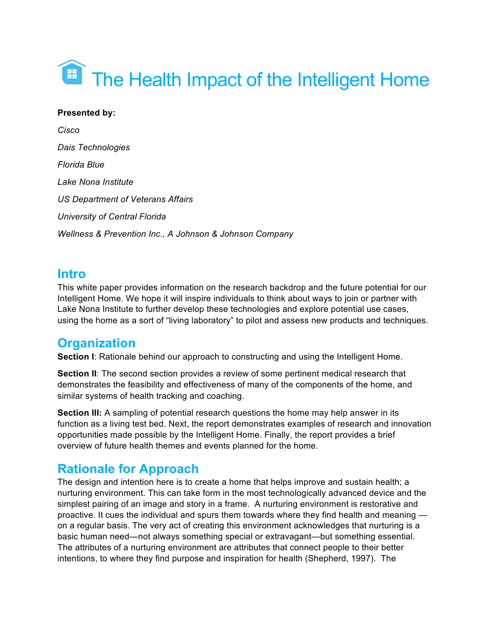# The Health Impact of the Intelligent Home

#### **Presented by:**

*Cisco Dais Technologies Florida Blue Lake Nona Institute US Department of Veterans Affairs University of Central Florida Wellness & Prevention Inc., A Johnson & Johnson Company*

## **Intro**

This white paper provides information on the research backdrop and the future potential for our Intelligent Home. We hope it will inspire individuals to think about ways to join or partner with Lake Nona Institute to further develop these technologies and explore potential use cases, using the home as a sort of "living laboratory" to pilot and assess new products and techniques.

## **Organization**

**Section I**: Rationale behind our approach to constructing and using the Intelligent Home.

**Section II**: The second section provides a review of some pertinent medical research that demonstrates the feasibility and effectiveness of many of the components of the home, and similar systems of health tracking and coaching.

**Section III:** A sampling of potential research questions the home may help answer in its function as a living test bed. Next, the report demonstrates examples of research and innovation opportunities made possible by the Intelligent Home. Finally, the report provides a brief overview of future health themes and events planned for the home.

## **Rationale for Approach**

The design and intention here is to create a home that helps improve and sustain health; a nurturing environment. This can take form in the most technologically advanced device and the simplest pairing of an image and story in a frame. A nurturing environment is restorative and proactive. It cues the individual and spurs them towards where they find health and meaning on a regular basis. The very act of creating this environment acknowledges that nurturing is a basic human need—not always something special or extravagant—but something essential. The attributes of a nurturing environment are attributes that connect people to their better intentions, to where they find purpose and inspiration for health (Shepherd, 1997). The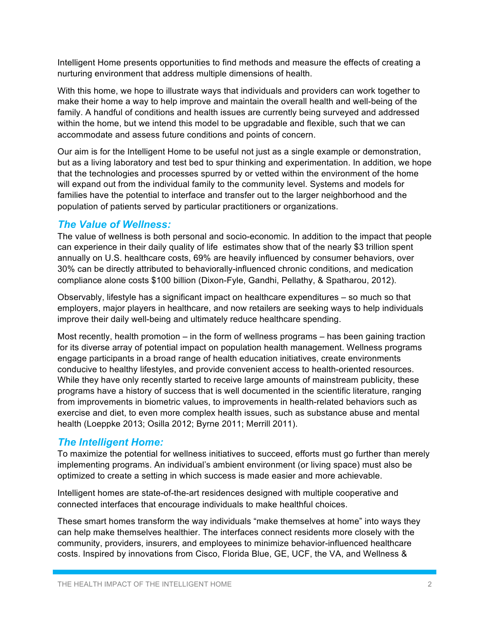Intelligent Home presents opportunities to find methods and measure the effects of creating a nurturing environment that address multiple dimensions of health.

With this home, we hope to illustrate ways that individuals and providers can work together to make their home a way to help improve and maintain the overall health and well-being of the family. A handful of conditions and health issues are currently being surveyed and addressed within the home, but we intend this model to be upgradable and flexible, such that we can accommodate and assess future conditions and points of concern.

Our aim is for the Intelligent Home to be useful not just as a single example or demonstration, but as a living laboratory and test bed to spur thinking and experimentation. In addition, we hope that the technologies and processes spurred by or vetted within the environment of the home will expand out from the individual family to the community level. Systems and models for families have the potential to interface and transfer out to the larger neighborhood and the population of patients served by particular practitioners or organizations.

#### *The Value of Wellness:*

The value of wellness is both personal and socio-economic. In addition to the impact that people can experience in their daily quality of life estimates show that of the nearly \$3 trillion spent annually on U.S. healthcare costs, 69% are heavily influenced by consumer behaviors, over 30% can be directly attributed to behaviorally-influenced chronic conditions, and medication compliance alone costs \$100 billion (Dixon-Fyle, Gandhi, Pellathy, & Spatharou, 2012).

Observably, lifestyle has a significant impact on healthcare expenditures – so much so that employers, major players in healthcare, and now retailers are seeking ways to help individuals improve their daily well-being and ultimately reduce healthcare spending.

Most recently, health promotion – in the form of wellness programs – has been gaining traction for its diverse array of potential impact on population health management. Wellness programs engage participants in a broad range of health education initiatives, create environments conducive to healthy lifestyles, and provide convenient access to health-oriented resources. While they have only recently started to receive large amounts of mainstream publicity, these programs have a history of success that is well documented in the scientific literature, ranging from improvements in biometric values, to improvements in health-related behaviors such as exercise and diet, to even more complex health issues, such as substance abuse and mental health (Loeppke 2013; Osilla 2012; Byrne 2011; Merrill 2011).

#### *The Intelligent Home:*

To maximize the potential for wellness initiatives to succeed, efforts must go further than merely implementing programs. An individual's ambient environment (or living space) must also be optimized to create a setting in which success is made easier and more achievable.

Intelligent homes are state-of-the-art residences designed with multiple cooperative and connected interfaces that encourage individuals to make healthful choices.

These smart homes transform the way individuals "make themselves at home" into ways they can help make themselves healthier. The interfaces connect residents more closely with the community, providers, insurers, and employees to minimize behavior-influenced healthcare costs. Inspired by innovations from Cisco, Florida Blue, GE, UCF, the VA, and Wellness &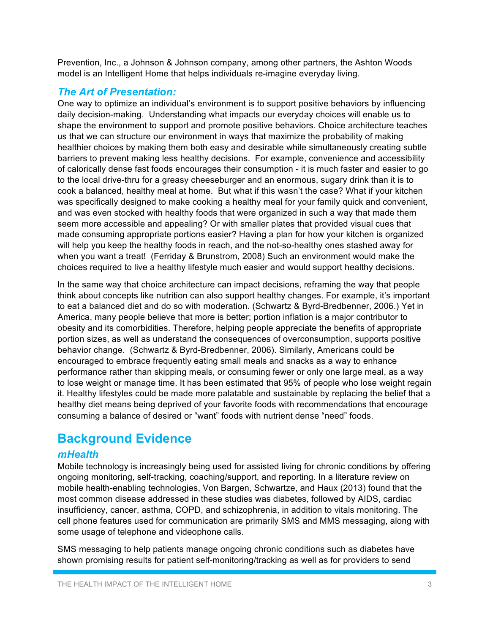Prevention, Inc., a Johnson & Johnson company, among other partners, the Ashton Woods model is an Intelligent Home that helps individuals re-imagine everyday living.

#### *The Art of Presentation:*

One way to optimize an individual's environment is to support positive behaviors by influencing daily decision-making. Understanding what impacts our everyday choices will enable us to shape the environment to support and promote positive behaviors. Choice architecture teaches us that we can structure our environment in ways that maximize the probability of making healthier choices by making them both easy and desirable while simultaneously creating subtle barriers to prevent making less healthy decisions. For example, convenience and accessibility of calorically dense fast foods encourages their consumption - it is much faster and easier to go to the local drive-thru for a greasy cheeseburger and an enormous, sugary drink than it is to cook a balanced, healthy meal at home. But what if this wasn't the case? What if your kitchen was specifically designed to make cooking a healthy meal for your family quick and convenient, and was even stocked with healthy foods that were organized in such a way that made them seem more accessible and appealing? Or with smaller plates that provided visual cues that made consuming appropriate portions easier? Having a plan for how your kitchen is organized will help you keep the healthy foods in reach, and the not-so-healthy ones stashed away for when you want a treat! (Ferriday & Brunstrom, 2008) Such an environment would make the choices required to live a healthy lifestyle much easier and would support healthy decisions.

In the same way that choice architecture can impact decisions, reframing the way that people think about concepts like nutrition can also support healthy changes. For example, it's important to eat a balanced diet and do so with moderation. (Schwartz & Byrd-Bredbenner, 2006.) Yet in America, many people believe that more is better; portion inflation is a major contributor to obesity and its comorbidities. Therefore, helping people appreciate the benefits of appropriate portion sizes, as well as understand the consequences of overconsumption, supports positive behavior change. (Schwartz & Byrd-Bredbenner, 2006). Similarly, Americans could be encouraged to embrace frequently eating small meals and snacks as a way to enhance performance rather than skipping meals, or consuming fewer or only one large meal, as a way to lose weight or manage time. It has been estimated that 95% of people who lose weight regain it. Healthy lifestyles could be made more palatable and sustainable by replacing the belief that a healthy diet means being deprived of your favorite foods with recommendations that encourage consuming a balance of desired or "want" foods with nutrient dense "need" foods.

## **Background Evidence**

#### *mHealth*

Mobile technology is increasingly being used for assisted living for chronic conditions by offering ongoing monitoring, self-tracking, coaching/support, and reporting. In a literature review on mobile health-enabling technologies, Von Bargen, Schwartze, and Haux (2013) found that the most common disease addressed in these studies was diabetes, followed by AIDS, cardiac insufficiency, cancer, asthma, COPD, and schizophrenia, in addition to vitals monitoring. The cell phone features used for communication are primarily SMS and MMS messaging, along with some usage of telephone and videophone calls.

SMS messaging to help patients manage ongoing chronic conditions such as diabetes have shown promising results for patient self-monitoring/tracking as well as for providers to send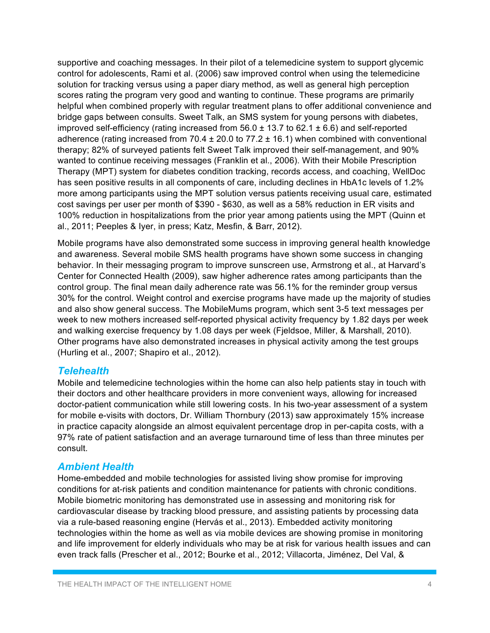supportive and coaching messages. In their pilot of a telemedicine system to support glycemic control for adolescents, Rami et al. (2006) saw improved control when using the telemedicine solution for tracking versus using a paper diary method, as well as general high perception scores rating the program very good and wanting to continue. These programs are primarily helpful when combined properly with regular treatment plans to offer additional convenience and bridge gaps between consults. Sweet Talk, an SMS system for young persons with diabetes, improved self-efficiency (rating increased from  $56.0 \pm 13.7$  to  $62.1 \pm 6.6$ ) and self-reported adherence (rating increased from 70.4  $\pm$  20.0 to 77.2  $\pm$  16.1) when combined with conventional therapy; 82% of surveyed patients felt Sweet Talk improved their self-management, and 90% wanted to continue receiving messages (Franklin et al., 2006). With their Mobile Prescription Therapy (MPT) system for diabetes condition tracking, records access, and coaching, WellDoc has seen positive results in all components of care, including declines in HbA1c levels of 1.2% more among participants using the MPT solution versus patients receiving usual care, estimated cost savings per user per month of \$390 - \$630, as well as a 58% reduction in ER visits and 100% reduction in hospitalizations from the prior year among patients using the MPT (Quinn et al., 2011; Peeples & Iyer, in press; Katz, Mesfin, & Barr, 2012).

Mobile programs have also demonstrated some success in improving general health knowledge and awareness. Several mobile SMS health programs have shown some success in changing behavior. In their messaging program to improve sunscreen use, Armstrong et al., at Harvard's Center for Connected Health (2009), saw higher adherence rates among participants than the control group. The final mean daily adherence rate was 56.1% for the reminder group versus 30% for the control. Weight control and exercise programs have made up the majority of studies and also show general success. The MobileMums program, which sent 3-5 text messages per week to new mothers increased self-reported physical activity frequency by 1.82 days per week and walking exercise frequency by 1.08 days per week (Fjeldsoe, Miller, & Marshall, 2010). Other programs have also demonstrated increases in physical activity among the test groups (Hurling et al., 2007; Shapiro et al., 2012).

#### *Telehealth*

Mobile and telemedicine technologies within the home can also help patients stay in touch with their doctors and other healthcare providers in more convenient ways, allowing for increased doctor-patient communication while still lowering costs. In his two-year assessment of a system for mobile e-visits with doctors, Dr. William Thornbury (2013) saw approximately 15% increase in practice capacity alongside an almost equivalent percentage drop in per-capita costs, with a 97% rate of patient satisfaction and an average turnaround time of less than three minutes per consult.

#### *Ambient Health*

Home-embedded and mobile technologies for assisted living show promise for improving conditions for at-risk patients and condition maintenance for patients with chronic conditions. Mobile biometric monitoring has demonstrated use in assessing and monitoring risk for cardiovascular disease by tracking blood pressure, and assisting patients by processing data via a rule-based reasoning engine (Hervás et al., 2013). Embedded activity monitoring technologies within the home as well as via mobile devices are showing promise in monitoring and life improvement for elderly individuals who may be at risk for various health issues and can even track falls (Prescher et al., 2012; Bourke et al., 2012; Villacorta, Jiménez, Del Val, &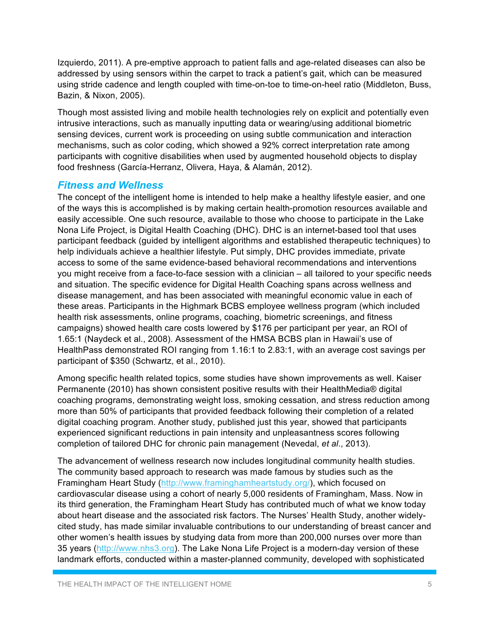Izquierdo, 2011). A pre-emptive approach to patient falls and age-related diseases can also be addressed by using sensors within the carpet to track a patient's gait, which can be measured using stride cadence and length coupled with time-on-toe to time-on-heel ratio (Middleton, Buss, Bazin, & Nixon, 2005).

Though most assisted living and mobile health technologies rely on explicit and potentially even intrusive interactions, such as manually inputting data or wearing/using additional biometric sensing devices, current work is proceeding on using subtle communication and interaction mechanisms, such as color coding, which showed a 92% correct interpretation rate among participants with cognitive disabilities when used by augmented household objects to display food freshness (García-Herranz, Olivera, Haya, & Alamán, 2012).

#### *Fitness and Wellness*

The concept of the intelligent home is intended to help make a healthy lifestyle easier, and one of the ways this is accomplished is by making certain health-promotion resources available and easily accessible. One such resource, available to those who choose to participate in the Lake Nona Life Project, is Digital Health Coaching (DHC). DHC is an internet-based tool that uses participant feedback (guided by intelligent algorithms and established therapeutic techniques) to help individuals achieve a healthier lifestyle. Put simply, DHC provides immediate, private access to some of the same evidence-based behavioral recommendations and interventions you might receive from a face-to-face session with a clinician – all tailored to your specific needs and situation. The specific evidence for Digital Health Coaching spans across wellness and disease management, and has been associated with meaningful economic value in each of these areas. Participants in the Highmark BCBS employee wellness program (which included health risk assessments, online programs, coaching, biometric screenings, and fitness campaigns) showed health care costs lowered by \$176 per participant per year, an ROI of 1.65:1 (Naydeck et al., 2008). Assessment of the HMSA BCBS plan in Hawaii's use of HealthPass demonstrated ROI ranging from 1.16:1 to 2.83:1, with an average cost savings per participant of \$350 (Schwartz, et al., 2010).

Among specific health related topics, some studies have shown improvements as well. Kaiser Permanente (2010) has shown consistent positive results with their HealthMedia® digital coaching programs, demonstrating weight loss, smoking cessation, and stress reduction among more than 50% of participants that provided feedback following their completion of a related digital coaching program. Another study, published just this year, showed that participants experienced significant reductions in pain intensity and unpleasantness scores following completion of tailored DHC for chronic pain management (Nevedal, *et al*., 2013).

The advancement of wellness research now includes longitudinal community health studies. The community based approach to research was made famous by studies such as the Framingham Heart Study (http://www.framinghamheartstudy.org/), which focused on cardiovascular disease using a cohort of nearly 5,000 residents of Framingham, Mass. Now in its third generation, the Framingham Heart Study has contributed much of what we know today about heart disease and the associated risk factors. The Nurses' Health Study, another widelycited study, has made similar invaluable contributions to our understanding of breast cancer and other women's health issues by studying data from more than 200,000 nurses over more than 35 years (http://www.nhs3.org). The Lake Nona Life Project is a modern-day version of these landmark efforts, conducted within a master-planned community, developed with sophisticated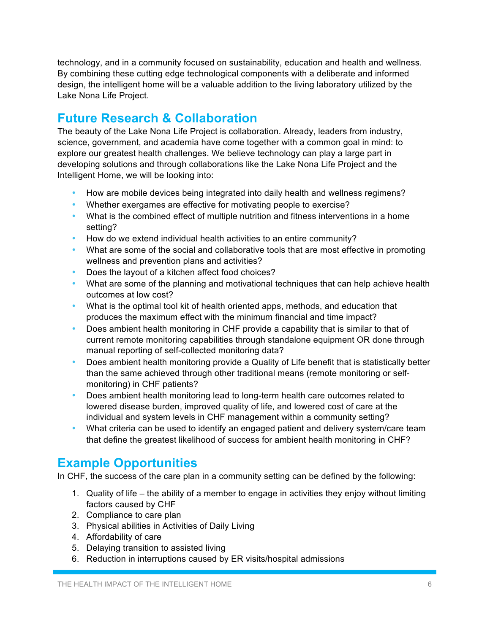technology, and in a community focused on sustainability, education and health and wellness. By combining these cutting edge technological components with a deliberate and informed design, the intelligent home will be a valuable addition to the living laboratory utilized by the Lake Nona Life Project.

## **Future Research & Collaboration**

The beauty of the Lake Nona Life Project is collaboration. Already, leaders from industry, science, government, and academia have come together with a common goal in mind: to explore our greatest health challenges. We believe technology can play a large part in developing solutions and through collaborations like the Lake Nona Life Project and the Intelligent Home, we will be looking into:

- How are mobile devices being integrated into daily health and wellness regimens?
- Whether exergames are effective for motivating people to exercise?
- What is the combined effect of multiple nutrition and fitness interventions in a home setting?
- How do we extend individual health activities to an entire community?
- What are some of the social and collaborative tools that are most effective in promoting wellness and prevention plans and activities?
- Does the layout of a kitchen affect food choices?
- What are some of the planning and motivational techniques that can help achieve health outcomes at low cost?
- What is the optimal tool kit of health oriented apps, methods, and education that produces the maximum effect with the minimum financial and time impact?
- Does ambient health monitoring in CHF provide a capability that is similar to that of current remote monitoring capabilities through standalone equipment OR done through manual reporting of self-collected monitoring data?
- Does ambient health monitoring provide a Quality of Life benefit that is statistically better than the same achieved through other traditional means (remote monitoring or selfmonitoring) in CHF patients?
- Does ambient health monitoring lead to long-term health care outcomes related to lowered disease burden, improved quality of life, and lowered cost of care at the individual and system levels in CHF management within a community setting?
- What criteria can be used to identify an engaged patient and delivery system/care team that define the greatest likelihood of success for ambient health monitoring in CHF?

# **Example Opportunities**

In CHF, the success of the care plan in a community setting can be defined by the following:

- 1. Quality of life the ability of a member to engage in activities they enjoy without limiting factors caused by CHF
- 2. Compliance to care plan
- 3. Physical abilities in Activities of Daily Living
- 4. Affordability of care
- 5. Delaying transition to assisted living
- 6. Reduction in interruptions caused by ER visits/hospital admissions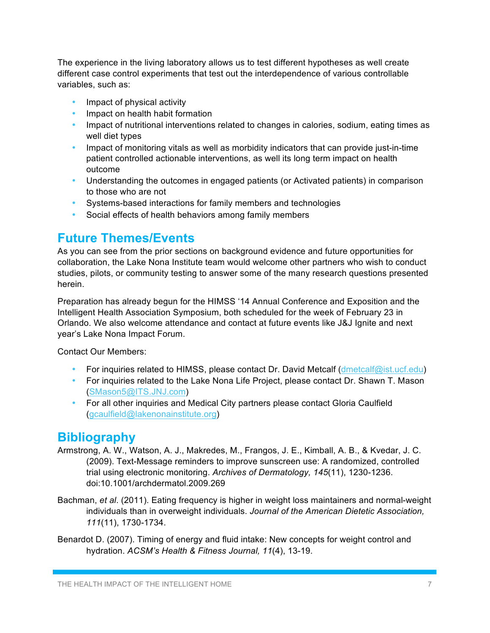The experience in the living laboratory allows us to test different hypotheses as well create different case control experiments that test out the interdependence of various controllable variables, such as:

- Impact of physical activity
- Impact on health habit formation
- Impact of nutritional interventions related to changes in calories, sodium, eating times as well diet types
- Impact of monitoring vitals as well as morbidity indicators that can provide just-in-time patient controlled actionable interventions, as well its long term impact on health outcome
- Understanding the outcomes in engaged patients (or Activated patients) in comparison to those who are not
- Systems-based interactions for family members and technologies
- Social effects of health behaviors among family members

## **Future Themes/Events**

As you can see from the prior sections on background evidence and future opportunities for collaboration, the Lake Nona Institute team would welcome other partners who wish to conduct studies, pilots, or community testing to answer some of the many research questions presented herein.

Preparation has already begun for the HIMSS '14 Annual Conference and Exposition and the Intelligent Health Association Symposium, both scheduled for the week of February 23 in Orlando. We also welcome attendance and contact at future events like J&J Ignite and next year's Lake Nona Impact Forum.

Contact Our Members:

- For inquiries related to HIMSS, please contact Dr. David Metcalf (dmetcalf@ist.ucf.edu)
- For inquiries related to the Lake Nona Life Project, please contact Dr. Shawn T. Mason (SMason5@ITS.JNJ.com)
- For all other inquiries and Medical City partners please contact Gloria Caulfield (gcaulfield@lakenonainstitute.org)

## **Bibliography**

- Armstrong, A. W., Watson, A. J., Makredes, M., Frangos, J. E., Kimball, A. B., & Kvedar, J. C. (2009). Text-Message reminders to improve sunscreen use: A randomized, controlled trial using electronic monitoring. *Archives of Dermatology, 145*(11), 1230-1236. doi:10.1001/archdermatol.2009.269
- Bachman, *et al*. (2011). Eating frequency is higher in weight loss maintainers and normal-weight individuals than in overweight individuals. *Journal of the American Dietetic Association, 111*(11), 1730-1734.
- Benardot D. (2007). Timing of energy and fluid intake: New concepts for weight control and hydration. *ACSM's Health & Fitness Journal, 11*(4), 13-19.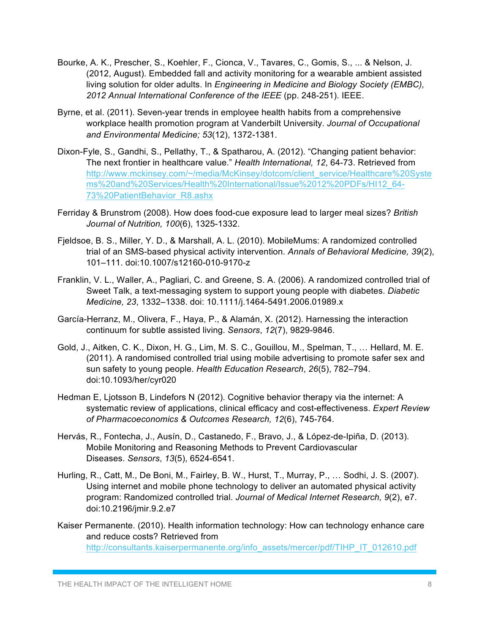- Bourke, A. K., Prescher, S., Koehler, F., Cionca, V., Tavares, C., Gomis, S., ... & Nelson, J. (2012, August). Embedded fall and activity monitoring for a wearable ambient assisted living solution for older adults. In *Engineering in Medicine and Biology Society (EMBC), 2012 Annual International Conference of the IEEE* (pp. 248-251). IEEE.
- Byrne, et al. (2011). Seven-year trends in employee health habits from a comprehensive workplace health promotion program at Vanderbilt University. *Journal of Occupational and Environmental Medicine; 53*(12), 1372-1381.
- Dixon-Fyle, S., Gandhi, S., Pellathy, T., & Spatharou, A. (2012). "Changing patient behavior: The next frontier in healthcare value." *Health International, 12*, 64-73. Retrieved from http://www.mckinsey.com/~/media/McKinsey/dotcom/client\_service/Healthcare%20Syste ms%20and%20Services/Health%20International/Issue%2012%20PDFs/HI12\_64- 73%20PatientBehavior\_R8.ashx
- Ferriday & Brunstrom (2008). How does food-cue exposure lead to larger meal sizes? *British Journal of Nutrition, 100*(6), 1325-1332.
- Fjeldsoe, B. S., Miller, Y. D., & Marshall, A. L. (2010). MobileMums: A randomized controlled trial of an SMS-based physical activity intervention. *Annals of Behavioral Medicine, 39*(2), 101–111. doi:10.1007/s12160-010-9170-z
- Franklin, V. L., Waller, A., Pagliari, C. and Greene, S. A. (2006). A randomized controlled trial of Sweet Talk, a text-messaging system to support young people with diabetes. *Diabetic Medicine, 23*, 1332–1338. doi: 10.1111/j.1464-5491.2006.01989.x
- García-Herranz, M., Olivera, F., Haya, P., & Alamán, X. (2012). Harnessing the interaction continuum for subtle assisted living. *Sensors*, *12*(7), 9829-9846.
- Gold, J., Aitken, C. K., Dixon, H. G., Lim, M. S. C., Gouillou, M., Spelman, T., … Hellard, M. E. (2011). A randomised controlled trial using mobile advertising to promote safer sex and sun safety to young people. *Health Education Research*, *26*(5), 782–794. doi:10.1093/her/cyr020
- Hedman E, Ljotsson B, Lindefors N (2012). Cognitive behavior therapy via the internet: A systematic review of applications, clinical efficacy and cost-effectiveness. *Expert Review of Pharmacoeconomics & Outcomes Research, 12*(6), 745-764.
- Hervás, R., Fontecha, J., Ausín, D., Castanedo, F., Bravo, J., & López-de-Ipiña, D. (2013). Mobile Monitoring and Reasoning Methods to Prevent Cardiovascular Diseases. *Sensors*, *13*(5), 6524-6541.
- Hurling, R., Catt, M., De Boni, M., Fairley, B. W., Hurst, T., Murray, P., … Sodhi, J. S. (2007). Using internet and mobile phone technology to deliver an automated physical activity program: Randomized controlled trial. *Journal of Medical Internet Research, 9*(2), e7. doi:10.2196/jmir.9.2.e7
- Kaiser Permanente. (2010). Health information technology: How can technology enhance care and reduce costs? Retrieved from

http://consultants.kaiserpermanente.org/info\_assets/mercer/pdf/TIHP\_IT\_012610.pdf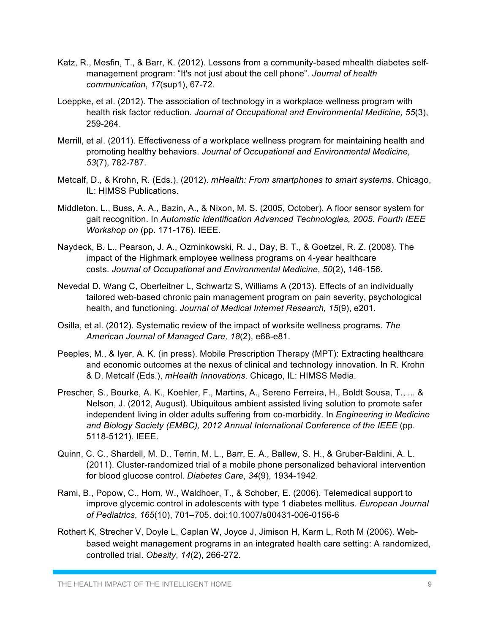- Katz, R., Mesfin, T., & Barr, K. (2012). Lessons from a community-based mhealth diabetes selfmanagement program: "It's not just about the cell phone". *Journal of health communication*, *17*(sup1), 67-72.
- Loeppke, et al. (2012). The association of technology in a workplace wellness program with health risk factor reduction. *Journal of Occupational and Environmental Medicine, 55*(3), 259-264.
- Merrill, et al. (2011). Effectiveness of a workplace wellness program for maintaining health and promoting healthy behaviors. *Journal of Occupational and Environmental Medicine, 53*(7), 782-787.
- Metcalf, D., & Krohn, R. (Eds.). (2012). *mHealth: From smartphones to smart systems*. Chicago, IL: HIMSS Publications.
- Middleton, L., Buss, A. A., Bazin, A., & Nixon, M. S. (2005, October). A floor sensor system for gait recognition. In *Automatic Identification Advanced Technologies, 2005. Fourth IEEE Workshop on* (pp. 171-176). IEEE.
- Naydeck, B. L., Pearson, J. A., Ozminkowski, R. J., Day, B. T., & Goetzel, R. Z. (2008). The impact of the Highmark employee wellness programs on 4-year healthcare costs. *Journal of Occupational and Environmental Medicine*, *50*(2), 146-156.
- Nevedal D, Wang C, Oberleitner L, Schwartz S, Williams A (2013). Effects of an individually tailored web-based chronic pain management program on pain severity, psychological health, and functioning. *Journal of Medical Internet Research, 15*(9), e201.
- Osilla, et al. (2012). Systematic review of the impact of worksite wellness programs. *The American Journal of Managed Care, 18*(2), e68-e81.
- Peeples, M., & Iyer, A. K. (in press). Mobile Prescription Therapy (MPT): Extracting healthcare and economic outcomes at the nexus of clinical and technology innovation. In R. Krohn & D. Metcalf (Eds.), *mHealth Innovations*. Chicago, IL: HIMSS Media.
- Prescher, S., Bourke, A. K., Koehler, F., Martins, A., Sereno Ferreira, H., Boldt Sousa, T., ... & Nelson, J. (2012, August). Ubiquitous ambient assisted living solution to promote safer independent living in older adults suffering from co-morbidity. In *Engineering in Medicine and Biology Society (EMBC), 2012 Annual International Conference of the IEEE* (pp. 5118-5121). IEEE.
- Quinn, C. C., Shardell, M. D., Terrin, M. L., Barr, E. A., Ballew, S. H., & Gruber-Baldini, A. L. (2011). Cluster-randomized trial of a mobile phone personalized behavioral intervention for blood glucose control. *Diabetes Care*, *34*(9), 1934-1942.
- Rami, B., Popow, C., Horn, W., Waldhoer, T., & Schober, E. (2006). Telemedical support to improve glycemic control in adolescents with type 1 diabetes mellitus. *European Journal of Pediatrics*, *165*(10), 701–705. doi:10.1007/s00431-006-0156-6
- Rothert K, Strecher V, Doyle L, Caplan W, Joyce J, Jimison H, Karm L, Roth M (2006). Webbased weight management programs in an integrated health care setting: A randomized, controlled trial. *Obesity*, *14*(2), 266-272.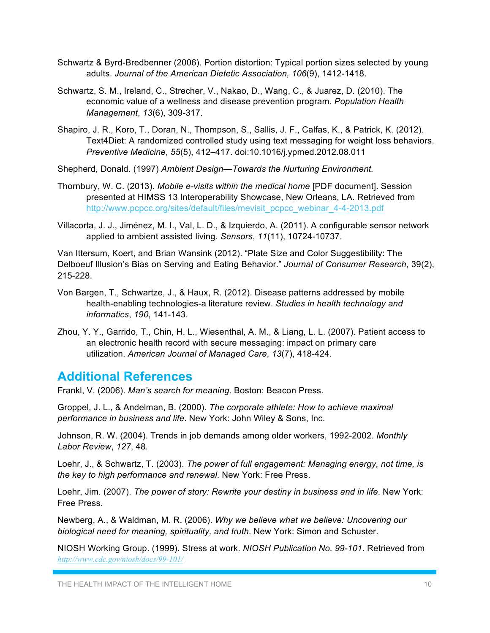- Schwartz & Byrd-Bredbenner (2006). Portion distortion: Typical portion sizes selected by young adults. *Journal of the American Dietetic Association, 106*(9), 1412-1418.
- Schwartz, S. M., Ireland, C., Strecher, V., Nakao, D., Wang, C., & Juarez, D. (2010). The economic value of a wellness and disease prevention program. *Population Health Management*, *13*(6), 309-317.
- Shapiro, J. R., Koro, T., Doran, N., Thompson, S., Sallis, J. F., Calfas, K., & Patrick, K. (2012). Text4Diet: A randomized controlled study using text messaging for weight loss behaviors. *Preventive Medicine*, *55*(5), 412–417. doi:10.1016/j.ypmed.2012.08.011

Shepherd, Donald. (1997) *Ambient Design—Towards the Nurturing Environment.*

- Thornbury, W. C. (2013). *Mobile e-visits within the medical home* [PDF document]. Session presented at HIMSS 13 Interoperability Showcase, New Orleans, LA. Retrieved from http://www.pcpcc.org/sites/default/files/mevisit\_pcpcc\_webinar\_4-4-2013.pdf
- Villacorta, J. J., Jiménez, M. I., Val, L. D., & Izquierdo, A. (2011). A configurable sensor network applied to ambient assisted living. *Sensors*, *11*(11), 10724-10737.

Van Ittersum, Koert, and Brian Wansink (2012). "Plate Size and Color Suggestibility: The Delboeuf Illusion's Bias on Serving and Eating Behavior." *Journal of Consumer Research*, 39(2), 215-228.

- Von Bargen, T., Schwartze, J., & Haux, R. (2012). Disease patterns addressed by mobile health-enabling technologies-a literature review. *Studies in health technology and informatics*, *190*, 141-143.
- Zhou, Y. Y., Garrido, T., Chin, H. L., Wiesenthal, A. M., & Liang, L. L. (2007). Patient access to an electronic health record with secure messaging: impact on primary care utilization. *American Journal of Managed Care*, *13*(7), 418-424.

## **Additional References**

Frankl, V. (2006). *Man's search for meaning*. Boston: Beacon Press.

Groppel, J. L., & Andelman, B. (2000). *The corporate athlete: How to achieve maximal performance in business and life*. New York: John Wiley & Sons, Inc.

Johnson, R. W. (2004). Trends in job demands among older workers, 1992-2002. *Monthly Labor Review*, *127*, 48.

Loehr, J., & Schwartz, T. (2003). *The power of full engagement: Managing energy, not time, is the key to high performance and renewal*. New York: Free Press.

Loehr, Jim. (2007). *The power of story: Rewrite your destiny in business and in life*. New York: Free Press.

Newberg, A., & Waldman, M. R. (2006). *Why we believe what we believe: Uncovering our biological need for meaning, spirituality, and truth*. New York: Simon and Schuster.

NIOSH Working Group. (1999). Stress at work. *NIOSH Publication No. 99-101*. Retrieved from *http://www.cdc.gov/niosh/docs/99-101/*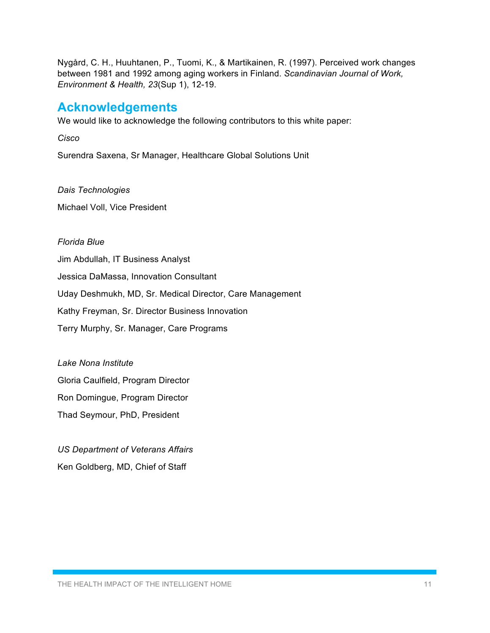Nygård, C. H., Huuhtanen, P., Tuomi, K., & Martikainen, R. (1997). Perceived work changes between 1981 and 1992 among aging workers in Finland. *Scandinavian Journal of Work, Environment & Health, 23*(Sup 1), 12-19.

### **Acknowledgements**

We would like to acknowledge the following contributors to this white paper:

*Cisco*

Surendra Saxena, Sr Manager, Healthcare Global Solutions Unit

*Dais Technologies*

Michael Voll, Vice President

#### *Florida Blue*

Jim Abdullah, IT Business Analyst Jessica DaMassa, Innovation Consultant Uday Deshmukh, MD, Sr. Medical Director, Care Management Kathy Freyman, Sr. Director Business Innovation Terry Murphy, Sr. Manager, Care Programs

#### *Lake Nona Institute*

Gloria Caulfield, Program Director Ron Domingue, Program Director Thad Seymour, PhD, President

*US Department of Veterans Affairs* Ken Goldberg, MD, Chief of Staff